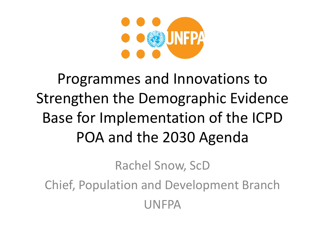

### Programmes and Innovations to Strengthen the Demographic Evidence Base for Implementation of the ICPD POA and the 2030 Agenda

Rachel Snow, ScD

Chief, Population and Development Branch UNFPA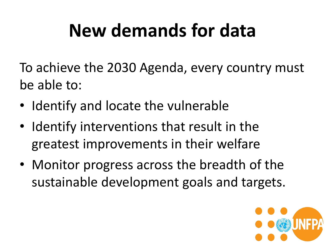# **New demands for data**

To achieve the 2030 Agenda, every country must be able to:

- Identify and locate the vulnerable
- Identify interventions that result in the greatest improvements in their welfare
- Monitor progress across the breadth of the sustainable development goals and targets.

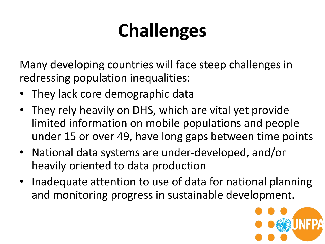# **Challenges**

Many developing countries will face steep challenges in redressing population inequalities:

- They lack core demographic data
- They rely heavily on DHS, which are vital yet provide limited information on mobile populations and people under 15 or over 49, have long gaps between time points
- National data systems are under-developed, and/or heavily oriented to data production
- Inadequate attention to use of data for national planning and monitoring progress in sustainable development.

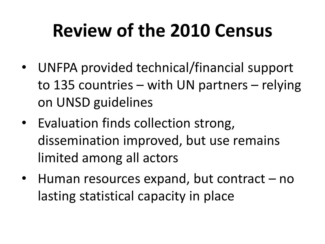# **Review of the 2010 Census**

- UNFPA provided technical/financial support to 135 countries – with UN partners – relying on UNSD guidelines
- Evaluation finds collection strong, dissemination improved, but use remains limited among all actors
- Human resources expand, but contract no lasting statistical capacity in place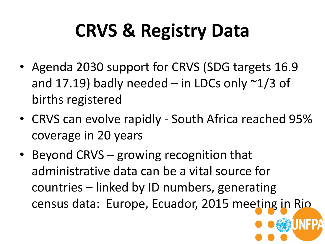# **CRVS & Registry Data**

- Agenda 2030 support for CRVS (SDG targets 16.9 and 17.19) badly needed – in LDCs only  $\sim$ 1/3 of births registered
- CRVS can evolve rapidly South Africa reached 95% coverage in 20 years
- Beyond CRVS growing recognition that administrative data can be a vital source for countries – linked by ID numbers, generating census data: Europe, Ecuador, 2015 meeting in Rio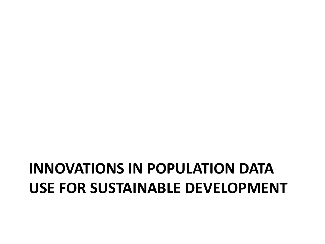### **INNOVATIONS IN POPULATION DATA USE FOR SUSTAINABLE DEVELOPMENT**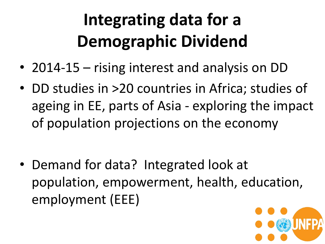# **Integrating data for a Demographic Dividend**

- 2014-15 rising interest and analysis on DD
- DD studies in >20 countries in Africa; studies of ageing in EE, parts of Asia - exploring the impact of population projections on the economy

• Demand for data? Integrated look at population, empowerment, health, education, employment (EEE)

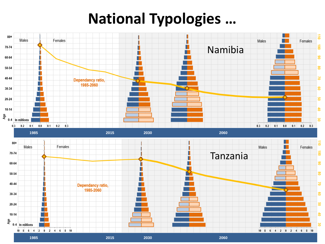### **National Typologies …**

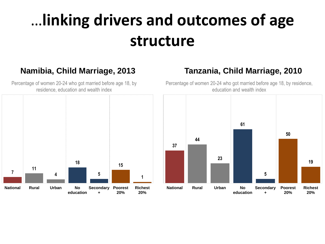### …**linking drivers and outcomes of age structure**

#### **Namibia, Child Marriage, 2013**

Percentage of women 20-24 who got married before age 18, by residence, education and wealth index



### **Tanzania, Child Marriage, 2010**

Percentage of women 20-24 who got married before age 18, by residence, education and wealth index

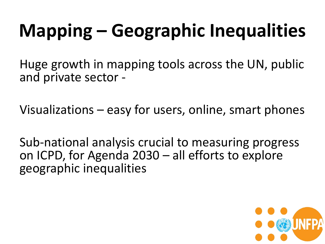# **Mapping – Geographic Inequalities**

Huge growth in mapping tools across the UN, public and private sector -

Visualizations – easy for users, online, smart phones

Sub-national analysis crucial to measuring progress on ICPD, for Agenda 2030 – all efforts to explore geographic inequalities

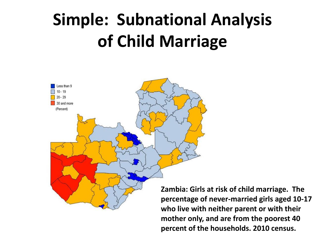# **Simple: Subnational Analysis of Child Marriage**



**Zambia: Girls at risk of child marriage. The percentage of never-married girls aged 10-17 who live with neither parent or with their mother only, and are from the poorest 40 percent of the households. 2010 census.**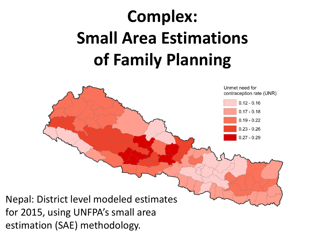# **Complex: Small Area Estimations of Family Planning**

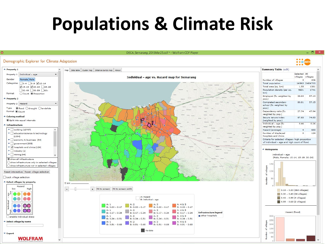## **Populations & Climate Risk**

贷

DECA\_Semarang\_2015Mar25.cdf \* - Wolfram CDF Player

- 6

**O O OD UNFP** 

#### Demographic Explorer for Climate Adaptation

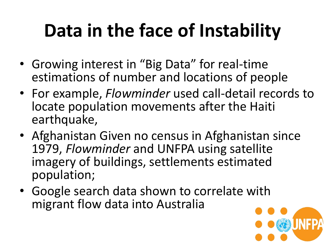# **Data in the face of Instability**

- Growing interest in "Big Data" for real-time estimations of number and locations of people
- For example, *Flowminder* used call-detail records to locate population movements after the Haiti earthquake,
- Afghanistan Given no census in Afghanistan since 1979, *Flowminder* and UNFPA using satellite imagery of buildings, settlements estimated population;
- Google search data shown to correlate with migrant flow data into Australia

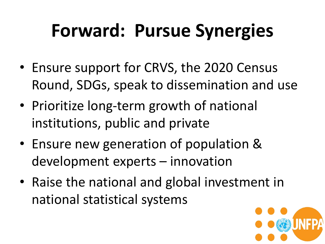# **Forward: Pursue Synergies**

- Ensure support for CRVS, the 2020 Census Round, SDGs, speak to dissemination and use
- Prioritize long-term growth of national institutions, public and private
- Ensure new generation of population & development experts – innovation
- Raise the national and global investment in national statistical systems